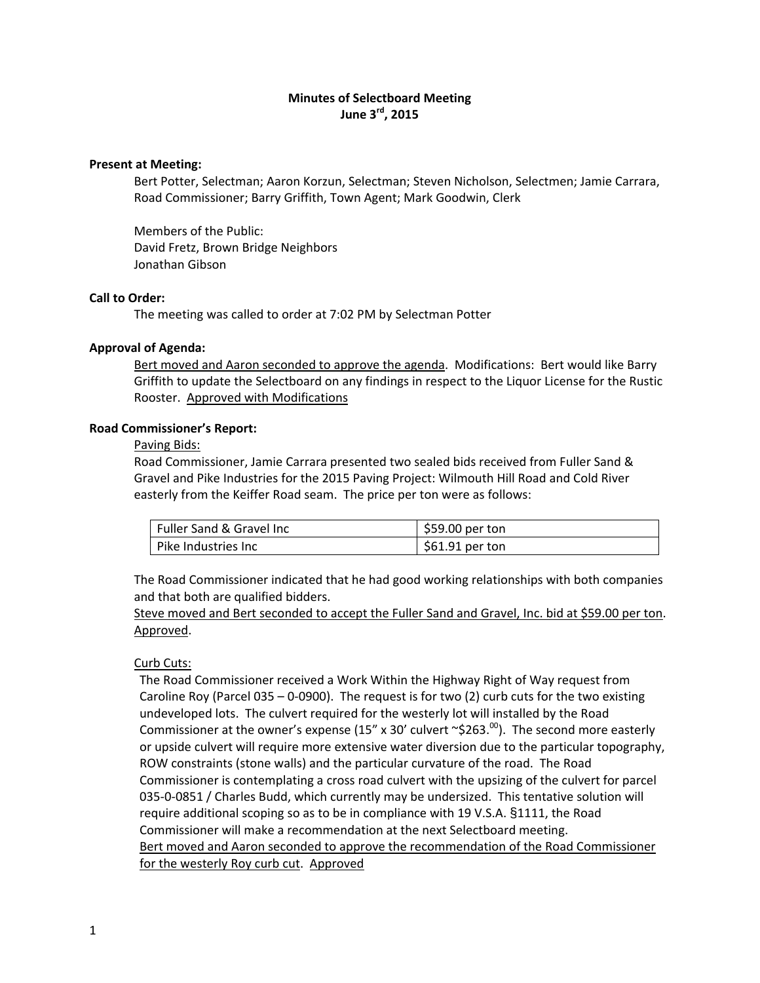# **Minutes of Selectboard Meeting June 3rd, 2015**

### **Present at Meeting:**

Bert Potter, Selectman; Aaron Korzun, Selectman; Steven Nicholson, Selectmen; Jamie Carrara, Road Commissioner; Barry Griffith, Town Agent; Mark Goodwin, Clerk

Members of the Public: David Fretz, Brown Bridge Neighbors Jonathan Gibson

# **Call to Order:**

The meeting was called to order at 7:02 PM by Selectman Potter

# **Approval of Agenda:**

Bert moved and Aaron seconded to approve the agenda. Modifications: Bert would like Barry Griffith to update the Selectboard on any findings in respect to the Liquor License for the Rustic Rooster. Approved with Modifications

# **Road Commissioner's Report:**

#### Paving Bids:

Road Commissioner, Jamie Carrara presented two sealed bids received from Fuller Sand & Gravel and Pike Industries for the 2015 Paving Project: Wilmouth Hill Road and Cold River easterly from the Keiffer Road seam. The price per ton were as follows:

| Fuller Sand & Gravel Inc | $$59.00$ per ton |
|--------------------------|------------------|
| Pike Industries Inc      | $$61.91$ per ton |

The Road Commissioner indicated that he had good working relationships with both companies and that both are qualified bidders.

Steve moved and Bert seconded to accept the Fuller Sand and Gravel, Inc. bid at \$59.00 per ton. Approved.

# Curb Cuts:

The Road Commissioner received a Work Within the Highway Right of Way request from Caroline Roy (Parcel 035 – 0-0900). The request is for two (2) curb cuts for the two existing undeveloped lots. The culvert required for the westerly lot will installed by the Road Commissioner at the owner's expense (15" x 30' culvert  $\sim$ \$263.<sup>00</sup>). The second more easterly or upside culvert will require more extensive water diversion due to the particular topography, ROW constraints (stone walls) and the particular curvature of the road. The Road Commissioner is contemplating a cross road culvert with the upsizing of the culvert for parcel 035-0-0851 / Charles Budd, which currently may be undersized. This tentative solution will require additional scoping so as to be in compliance with 19 V.S.A. §1111, the Road Commissioner will make a recommendation at the next Selectboard meeting. Bert moved and Aaron seconded to approve the recommendation of the Road Commissioner for the westerly Roy curb cut. Approved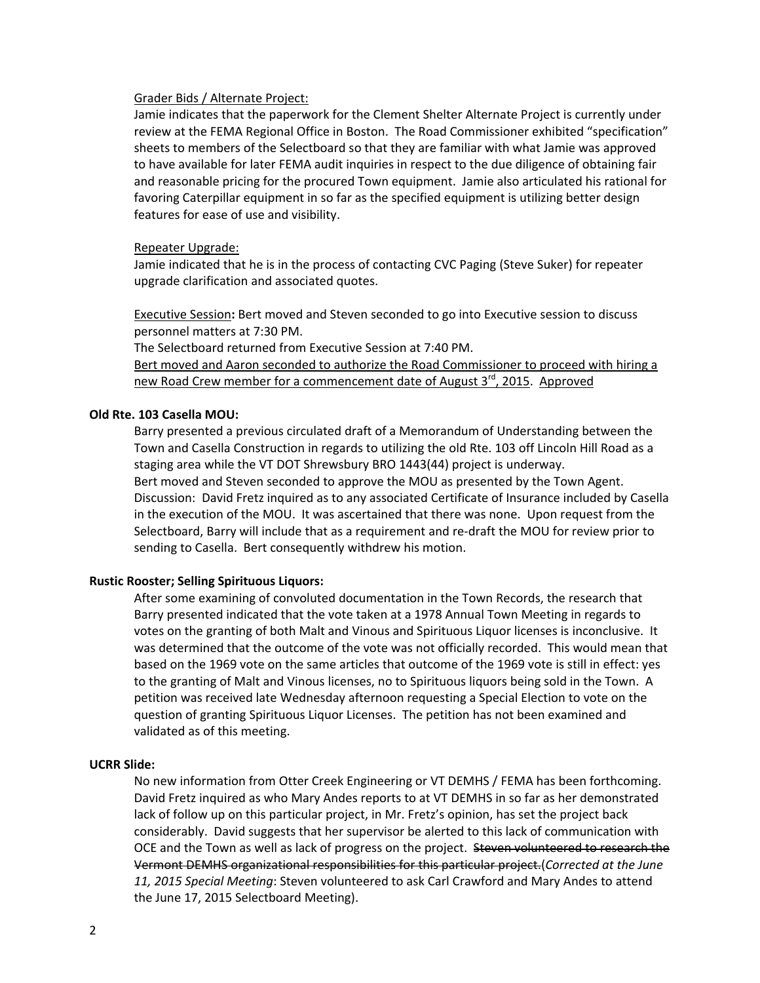#### Grader Bids / Alternate Project:

Jamie indicates that the paperwork for the Clement Shelter Alternate Project is currently under review at the FEMA Regional Office in Boston. The Road Commissioner exhibited "specification" sheets to members of the Selectboard so that they are familiar with what Jamie was approved to have available for later FEMA audit inquiries in respect to the due diligence of obtaining fair and reasonable pricing for the procured Town equipment. Jamie also articulated his rational for favoring Caterpillar equipment in so far as the specified equipment is utilizing better design features for ease of use and visibility.

#### Repeater Upgrade:

Jamie indicated that he is in the process of contacting CVC Paging (Steve Suker) for repeater upgrade clarification and associated quotes.

Executive Session**:** Bert moved and Steven seconded to go into Executive session to discuss personnel matters at 7:30 PM.

The Selectboard returned from Executive Session at 7:40 PM.

Bert moved and Aaron seconded to authorize the Road Commissioner to proceed with hiring a new Road Crew member for a commencement date of August 3<sup>rd</sup>, 2015. Approved

### **Old Rte. 103 Casella MOU:**

Barry presented a previous circulated draft of a Memorandum of Understanding between the Town and Casella Construction in regards to utilizing the old Rte. 103 off Lincoln Hill Road as a staging area while the VT DOT Shrewsbury BRO 1443(44) project is underway. Bert moved and Steven seconded to approve the MOU as presented by the Town Agent. Discussion: David Fretz inquired as to any associated Certificate of Insurance included by Casella in the execution of the MOU. It was ascertained that there was none. Upon request from the Selectboard, Barry will include that as a requirement and re‐draft the MOU for review prior to sending to Casella. Bert consequently withdrew his motion.

## **Rustic Rooster; Selling Spirituous Liquors:**

After some examining of convoluted documentation in the Town Records, the research that Barry presented indicated that the vote taken at a 1978 Annual Town Meeting in regards to votes on the granting of both Malt and Vinous and Spirituous Liquor licenses is inconclusive. It was determined that the outcome of the vote was not officially recorded. This would mean that based on the 1969 vote on the same articles that outcome of the 1969 vote is still in effect: yes to the granting of Malt and Vinous licenses, no to Spirituous liquors being sold in the Town. A petition was received late Wednesday afternoon requesting a Special Election to vote on the question of granting Spirituous Liquor Licenses. The petition has not been examined and validated as of this meeting.

# **UCRR Slide:**

No new information from Otter Creek Engineering or VT DEMHS / FEMA has been forthcoming. David Fretz inquired as who Mary Andes reports to at VT DEMHS in so far as her demonstrated lack of follow up on this particular project, in Mr. Fretz's opinion, has set the project back considerably. David suggests that her supervisor be alerted to this lack of communication with OCE and the Town as well as lack of progress on the project. Steven volunteered to research the Vermont DEMHS organizational responsibilities for this particular project.(*Corrected at the June 11, 2015 Special Meeting*: Steven volunteered to ask Carl Crawford and Mary Andes to attend the June 17, 2015 Selectboard Meeting).